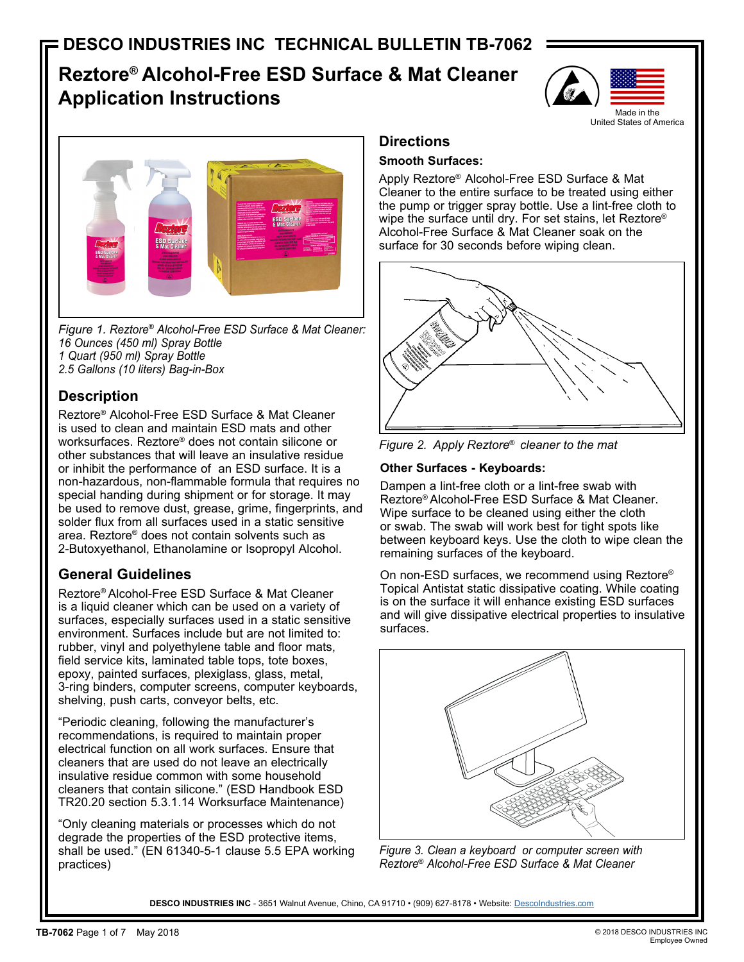# **Reztore® Alcohol-Free ESD Surface & Mat Cleaner Application Instructions**





*Figure 1. Reztore*® *Alcohol-Free ESD Surface & Mat Cleaner: 16 Ounces (450 ml) Spray Bottle 1 Quart (950 ml) Spray Bottle 2.5 Gallons (10 liters) Bag-in-Box*

# **Description**

Reztore® Alcohol-Free ESD Surface & Mat Cleaner is used to clean and maintain ESD mats and other worksurfaces. Reztore® does not contain silicone or other substances that will leave an insulative residue or inhibit the performance of an ESD surface. It is a non-hazardous, non-flammable formula that requires no special handing during shipment or for storage. It may be used to remove dust, grease, grime, fingerprints, and solder flux from all surfaces used in a static sensitive area. Reztore® does not contain solvents such as 2-Butoxyethanol, Ethanolamine or Isopropyl Alcohol.

# **General Guidelines**

Reztore® Alcohol-Free ESD Surface & Mat Cleaner is a liquid cleaner which can be used on a variety of surfaces, especially surfaces used in a static sensitive environment. Surfaces include but are not limited to: rubber, vinyl and polyethylene table and floor mats, field service kits, laminated table tops, tote boxes, epoxy, painted surfaces, plexiglass, glass, metal, 3-ring binders, computer screens, computer keyboards, shelving, push carts, conveyor belts, etc.

"Periodic cleaning, following the manufacturer's recommendations, is required to maintain proper electrical function on all work surfaces. Ensure that cleaners that are used do not leave an electrically insulative residue common with some household cleaners that contain silicone." (ESD Handbook ESD TR20.20 section 5.3.1.14 Worksurface Maintenance)

"Only cleaning materials or processes which do not degrade the properties of the ESD protective items, shall be used." (EN 61340-5-1 clause 5.5 EPA working practices)

# **Directions**

### **Smooth Surfaces:**

Apply Reztore® Alcohol-Free ESD Surface & Mat Cleaner to the entire surface to be treated using either the pump or trigger spray bottle. Use a lint-free cloth to wipe the surface until dry. For set stains, let Reztore® Alcohol-Free Surface & Mat Cleaner soak on the surface for 30 seconds before wiping clean.



*Figure 2. Apply Reztore*® *cleaner to the mat*

## **Other Surfaces - Keyboards:**

Dampen a lint-free cloth or a lint-free swab with Reztore® Alcohol-Free ESD Surface & Mat Cleaner. Wipe surface to be cleaned using either the cloth or swab. The swab will work best for tight spots like between keyboard keys. Use the cloth to wipe clean the remaining surfaces of the keyboard.

On non-ESD surfaces, we recommend using Reztore® Topical Antistat static dissipative coating. While coating is on the surface it will enhance existing ESD surfaces and will give dissipative electrical properties to insulative surfaces.



*Figure 3. Clean a keyboard or computer screen with Reztore*® *Alcohol-Free ESD Surface & Mat Cleaner*

DESCO INDUSTRIES INC - 3651 Walnut Avenue, Chino, CA 91710 • (909) 627-8178 • Website: Descolndustries.com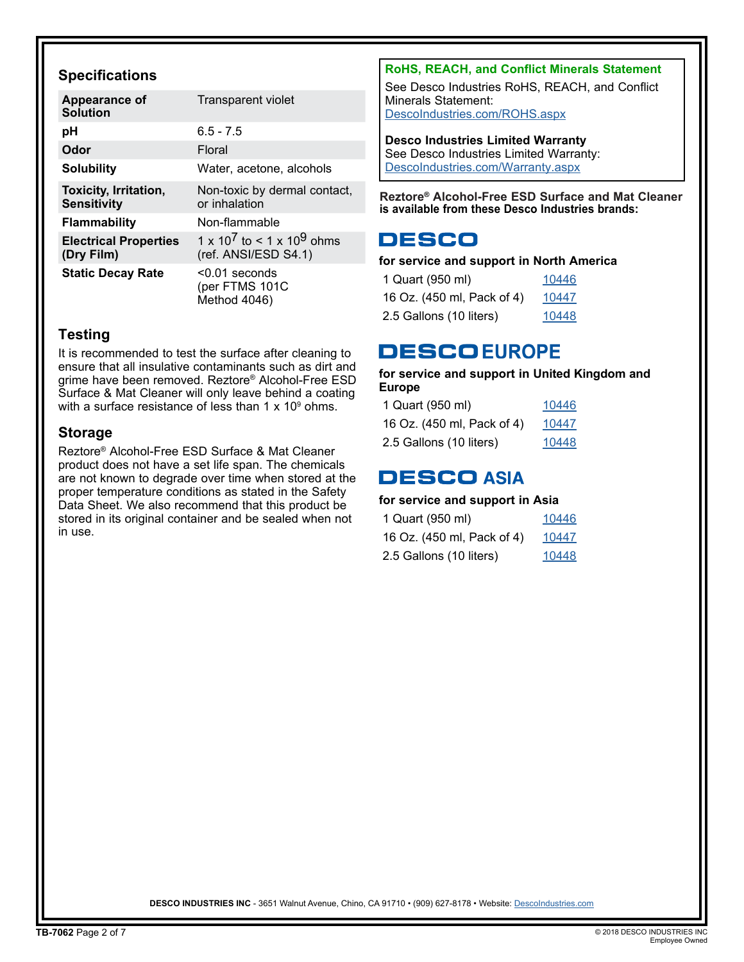## **Specifications**

| <b>Appearance of</b><br><b>Solution</b>            | <b>Transparent violet</b>                                                 |
|----------------------------------------------------|---------------------------------------------------------------------------|
| рH                                                 | $6.5 - 7.5$                                                               |
| Odor                                               | Floral                                                                    |
| <b>Solubility</b>                                  | Water, acetone, alcohols                                                  |
| <b>Toxicity, Irritation,</b><br><b>Sensitivity</b> | Non-toxic by dermal contact,<br>or inhalation                             |
| <b>Flammability</b>                                | Non-flammable                                                             |
| <b>Electrical Properties</b><br>(Dry Film)         | 1 x 10 <sup>7</sup> to < 1 x 10 <sup>9</sup> ohms<br>(ref. ANSI/ESD S4.1) |
| <b>Static Decay Rate</b>                           | $< 0.01$ seconds<br>(per FTMS 101C<br>Method 4046)                        |

## **Testing**

It is recommended to test the surface after cleaning to ensure that all insulative contaminants such as dirt and grime have been removed. Reztore® Alcohol-Free ESD Surface & Mat Cleaner will only leave behind a coating with a surface resistance of less than 1 x 10 $^{\rm 9}$  ohms.

## **Storage**

Reztore® Alcohol-Free ESD Surface & Mat Cleaner product does not have a set life span. The chemicals are not known to degrade over time when stored at the proper temperature conditions as stated in the Safety Data Sheet. We also recommend that this product be stored in its original container and be sealed when not in use.

## **RoHS, REACH, and Conflict Minerals Statement**

See Desco Industries RoHS, REACH, and Conflict Minerals Statement: [DescoIndustries.com/ROHS.aspx](http://DescoIndustries.com/ROHS.aspx)

### **Desco Industries Limited Warranty**

See Desco Industries Limited Warranty: [DescoIndustries.com/Warranty.aspx](http://DescoIndustries.com/Warranty.aspx)

**Reztore® Alcohol-Free ESD Surface and Mat Cleaner is available from these Desco Industries brands:**

# **DESCO**

### **for service and support in North America**

| 1 Quart (950 ml)           | 10446 |
|----------------------------|-------|
| 16 Oz. (450 ml, Pack of 4) | 10447 |
| 2.5 Gallons (10 liters)    | 10448 |

# **DESCOEUROPE**

#### **for service and support in United Kingdom and Europe**

| 1 Quart (950 ml)           | 10446 |
|----------------------------|-------|
| 16 Oz. (450 ml, Pack of 4) | 10447 |
| 2.5 Gallons (10 liters)    | 10448 |

# **DESCO ASIA**

## **for service and support in Asia**

| 1 Quart (950 ml)           | 10446 |
|----------------------------|-------|
| 16 Oz. (450 ml, Pack of 4) | 10447 |
| 2.5 Gallons (10 liters)    | 10448 |

DESCO INDUSTRIES INC - 3651 Walnut Avenue, Chino, CA 91710 • (909) 627-8178 • Website: Descolndustries.com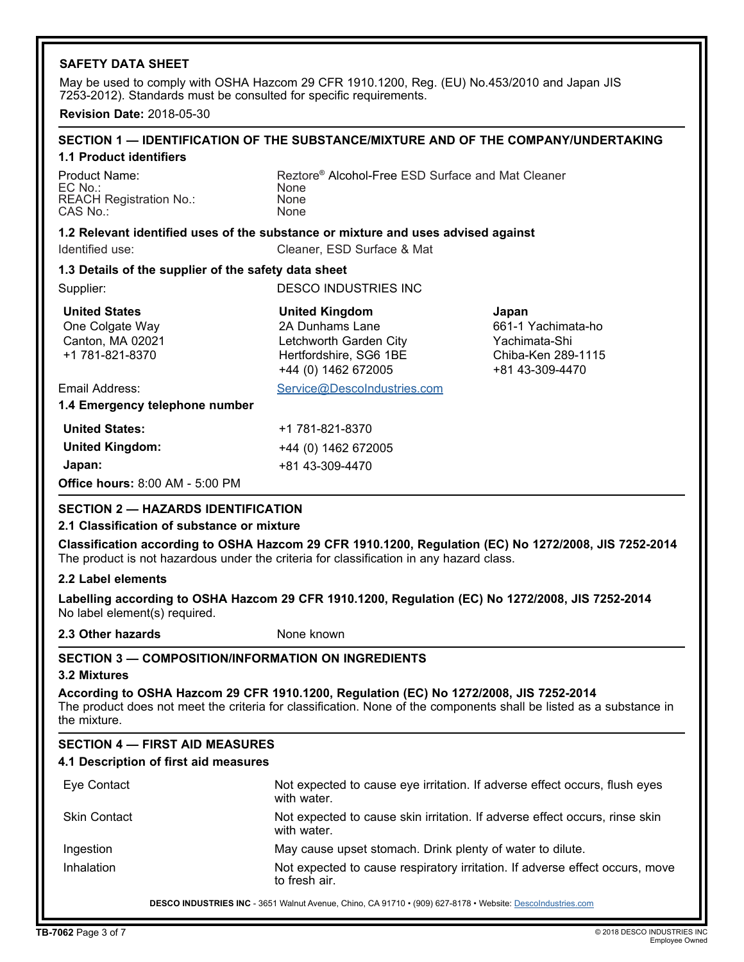#### **SAFETY DATA SHEET**

May be used to comply with OSHA Hazcom 29 CFR 1910.1200, Reg. (EU) No.453/2010 and Japan JIS 7253-2012). Standards must be consulted for specific requirements.

**Revision Date:** 2018-05-30

#### **SECTION 1 — IDENTIFICATION OF THE SUBSTANCE/MIXTURE AND OF THE COMPANY/UNDERTAKING 1.1 Product identifiers**

EC No.: None<br>REACH Registration No.: None REACH Registration No.: None<br>CAS No.: None CAS No.:

Product Name: <br>
Reztore® Alcohol-Free ESD Surface and Mat Cleaner<br>
Rone

#### **1.2 Relevant identified uses of the substance or mixture and uses advised against**

Identified use: Cleaner, ESD Surface & Mat

#### **1.3 Details of the supplier of the safety data sheet**

Supplier: DESCO INDUSTRIES INC

| <b>United States</b>                   | <b>United Kingdom</b>       | Japan              |
|----------------------------------------|-----------------------------|--------------------|
| One Colgate Way                        | 2A Dunhams Lane             | 661-1 Yachimata-ho |
| Canton, MA 02021                       | Letchworth Garden City      | Yachimata-Shi      |
| +1 781-821-8370                        | Hertfordshire, SG6 1BE      | Chiba-Ken 289-1115 |
|                                        | +44 (0) 1462 672005         | +81 43-309-4470    |
| Email Address:                         | Service@DescoIndustries.com |                    |
| 1.4 Emergency telephone number         |                             |                    |
| <b>United States:</b>                  | +1 781-821-8370             |                    |
| <b>United Kingdom:</b>                 | +44 (0) 1462 672005         |                    |
| Japan:                                 | +81 43-309-4470             |                    |
| <b>Office hours: 8:00 AM - 5:00 PM</b> |                             |                    |

#### **SECTION 2 — HAZARDS IDENTIFICATION**

#### **2.1 Classification of substance or mixture**

**Classification according to OSHA Hazcom 29 CFR 1910.1200, Regulation (EC) No 1272/2008, JIS 7252-2014** The product is not hazardous under the criteria for classification in any hazard class.

#### **2.2 Label elements**

**Labelling according to OSHA Hazcom 29 CFR 1910.1200, Regulation (EC) No 1272/2008, JIS 7252-2014** No label element(s) required.

**2.3 Other hazards None known** 

#### **SECTION 3 — COMPOSITION/INFORMATION ON INGREDIENTS**

#### **3.2 Mixtures**

**According to OSHA Hazcom 29 CFR 1910.1200, Regulation (EC) No 1272/2008, JIS 7252-2014** The product does not meet the criteria for classification. None of the components shall be listed as a substance in the mixture.

#### **SECTION 4 — FIRST AID MEASURES**

#### **4.1 Description of first aid measures**

| Eye Contact         | Not expected to cause eye irritation. If adverse effect occurs, flush eyes<br>with water.     |
|---------------------|-----------------------------------------------------------------------------------------------|
| <b>Skin Contact</b> | Not expected to cause skin irritation. If adverse effect occurs, rinse skin<br>with water.    |
| Ingestion           | May cause upset stomach. Drink plenty of water to dilute.                                     |
| Inhalation          | Not expected to cause respiratory irritation. If adverse effect occurs, move<br>to fresh air. |

DESCO INDUSTRIES INC - 3651 Walnut Avenue, Chino, CA 91710 • (909) 627-8178 • Website: Descolndustries.com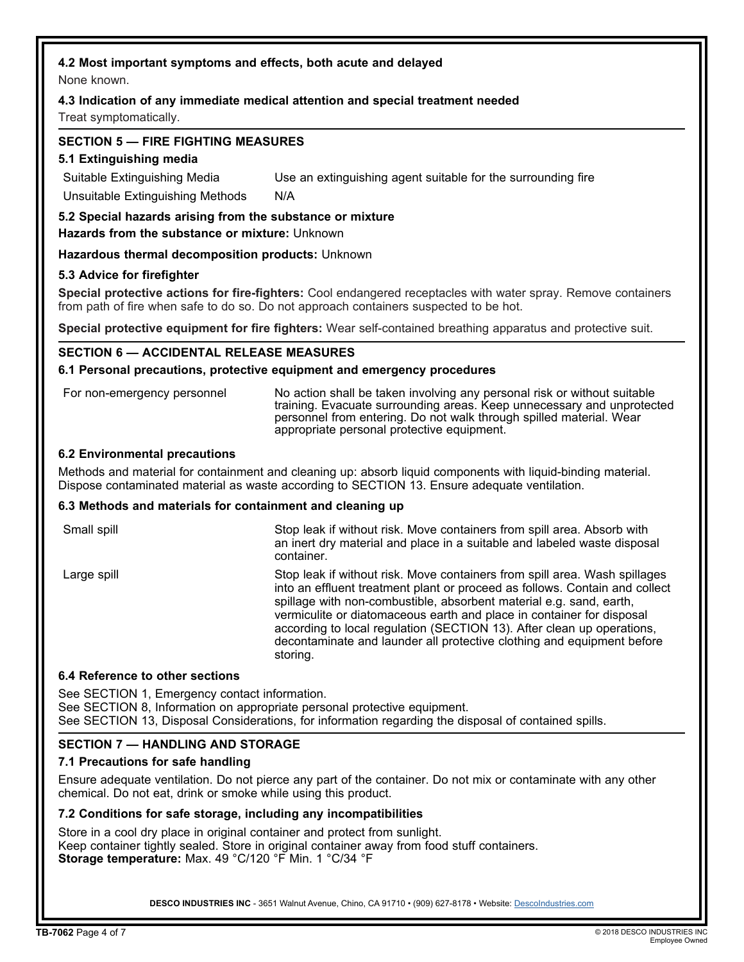### **4.2 Most important symptoms and effects, both acute and delayed**

None known.

#### **4.3 Indication of any immediate medical attention and special treatment needed**

Treat symptomatically.

#### **SECTION 5 — FIRE FIGHTING MEASURES**

#### **5.1 Extinguishing media**

Suitable Extinguishing Media Use an extinguishing agent suitable for the surrounding fire

Unsuitable Extinguishing Methods N/A

**5.2 Special hazards arising from the substance or mixture**

**Hazards from the substance or mixture:** Unknown

**Hazardous thermal decomposition products:** Unknown

#### **5.3 Advice for firefighter**

**Special protective actions for fire-fighters:** Cool endangered receptacles with water spray. Remove containers from path of fire when safe to do so. Do not approach containers suspected to be hot.

**Special protective equipment for fire fighters:** Wear self-contained breathing apparatus and protective suit.

#### **SECTION 6 — ACCIDENTAL RELEASE MEASURES**

#### **6.1 Personal precautions, protective equipment and emergency procedures**

For non-emergency personnel No action shall be taken involving any personal risk or without suitable training. Evacuate surrounding areas. Keep unnecessary and unprotected personnel from entering. Do not walk through spilled material. Wear appropriate personal protective equipment.

#### **6.2 Environmental precautions**

Methods and material for containment and cleaning up: absorb liquid components with liquid-binding material. Dispose contaminated material as waste according to SECTION 13. Ensure adequate ventilation.

#### **6.3 Methods and materials for containment and cleaning up**

Small spill Small spill Stop leak if without risk. Move containers from spill area. Absorb with an inert dry material and place in a suitable and labeled waste disposal container. Large spill Stop leak if without risk. Move containers from spill area. Wash spillages into an effluent treatment plant or proceed as follows. Contain and collect spillage with non-combustible, absorbent material e.g. sand, earth, vermiculite or diatomaceous earth and place in container for disposal according to local regulation (SECTION 13). After clean up operations,

decontaminate and launder all protective clothing and equipment before

#### **6.4 Reference to other sections**

See SECTION 1, Emergency contact information. See SECTION 8, Information on appropriate personal protective equipment. See SECTION 13, Disposal Considerations, for information regarding the disposal of contained spills.

#### **SECTION 7 — HANDLING AND STORAGE**

#### **7.1 Precautions for safe handling**

Ensure adequate ventilation. Do not pierce any part of the container. Do not mix or contaminate with any other chemical. Do not eat, drink or smoke while using this product.

#### **7.2 Conditions for safe storage, including any incompatibilities**

Store in a cool dry place in original container and protect from sunlight. Keep container tightly sealed. Store in original container away from food stuff containers. **Storage temperature:** Max. 49 °C/120 °F Min. 1 °C/34 °F

storing.

**DESCO INDUSTRIES INC** - 3651 Walnut Avenue, Chino, CA 91710 • (909) 627-8178 • Website: [DescoIndustries.com](http://www.descoindustries.com)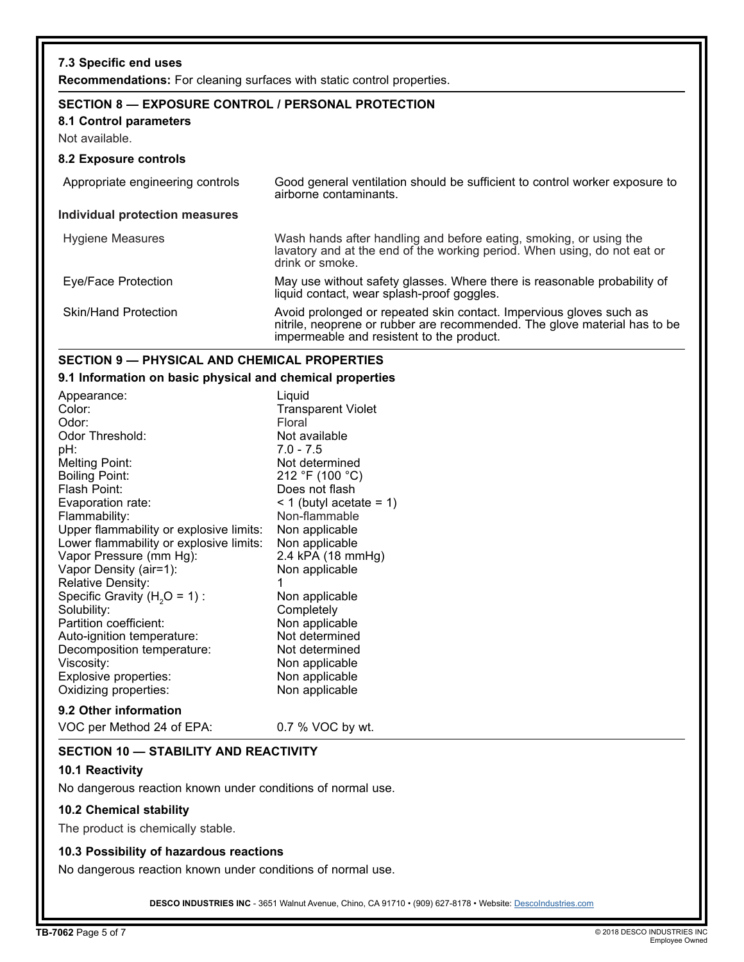| 7.3 Specific end uses<br><b>Recommendations:</b> For cleaning surfaces with static control properties. |                                                                                                                                                                                               |
|--------------------------------------------------------------------------------------------------------|-----------------------------------------------------------------------------------------------------------------------------------------------------------------------------------------------|
| SECTION 8 - EXPOSURE CONTROL / PERSONAL PROTECTION<br>8.1 Control parameters<br>Not available.         |                                                                                                                                                                                               |
| 8.2 Exposure controls                                                                                  |                                                                                                                                                                                               |
| Appropriate engineering controls                                                                       | Good general ventilation should be sufficient to control worker exposure to<br>airborne contaminants.                                                                                         |
| Individual protection measures                                                                         |                                                                                                                                                                                               |
| Hygiene Measures                                                                                       | Wash hands after handling and before eating, smoking, or using the<br>lavatory and at the end of the working period. When using, do not eat or<br>drink or smoke.                             |
| Eye/Face Protection                                                                                    | May use without safety glasses. Where there is reasonable probability of<br>liquid contact, wear splash-proof goggles.                                                                        |
| <b>Skin/Hand Protection</b>                                                                            | Avoid prolonged or repeated skin contact. Impervious gloves such as<br>nitrile, neoprene or rubber are recommended. The glove material has to be<br>impermeable and resistent to the product. |

## **SECTION 9 — PHYSICAL AND CHEMICAL PROPERTIES**

**9.1 Information on basic physical and chemical properties**

| Appearance:                             | Liquid                    |
|-----------------------------------------|---------------------------|
| Color:                                  | <b>Transparent Violet</b> |
| Odor:                                   | Floral                    |
| Odor Threshold:                         | Not available             |
| pH:                                     | $7.0 - 7.5$               |
| <b>Melting Point:</b>                   | Not determined            |
| <b>Boiling Point:</b>                   | 212 °F (100 °C)           |
| Flash Point:                            | Does not flash            |
| Evaporation rate:                       | < 1 (butyl acetate = 1)   |
| Flammability:                           | Non-flammable             |
| Upper flammability or explosive limits: | Non applicable            |
| Lower flammability or explosive limits: | Non applicable            |
| Vapor Pressure (mm Hg):                 | 2.4 kPA (18 mmHg)         |
| Vapor Density (air=1):                  | Non applicable            |
| Relative Density:                       |                           |
| Specific Gravity $(H2O = 1)$ :          | Non applicable            |
| Solubility:                             | Completely                |
| Partition coefficient:                  | Non applicable            |
| Auto-ignition temperature:              | Not determined            |
| Decomposition temperature:              | Not determined            |
| Viscosity:                              | Non applicable            |
| Explosive properties:                   | Non applicable            |
| Oxidizing properties:                   | Non applicable            |
|                                         |                           |

## **9.2 Other information**

VOC per Method 24 of EPA: 0.7 % VOC by wt.

#### **SECTION 10 — STABILITY AND REACTIVITY**

#### **10.1 Reactivity**

No dangerous reaction known under conditions of normal use.

#### **10.2 Chemical stability**

The product is chemically stable.

#### **10.3 Possibility of hazardous reactions**

No dangerous reaction known under conditions of normal use.

DESCO INDUSTRIES INC - 3651 Walnut Avenue, Chino, CA 91710 • (909) 627-8178 • Website: [DescoIndustries.com](http://www.descoindustries.com)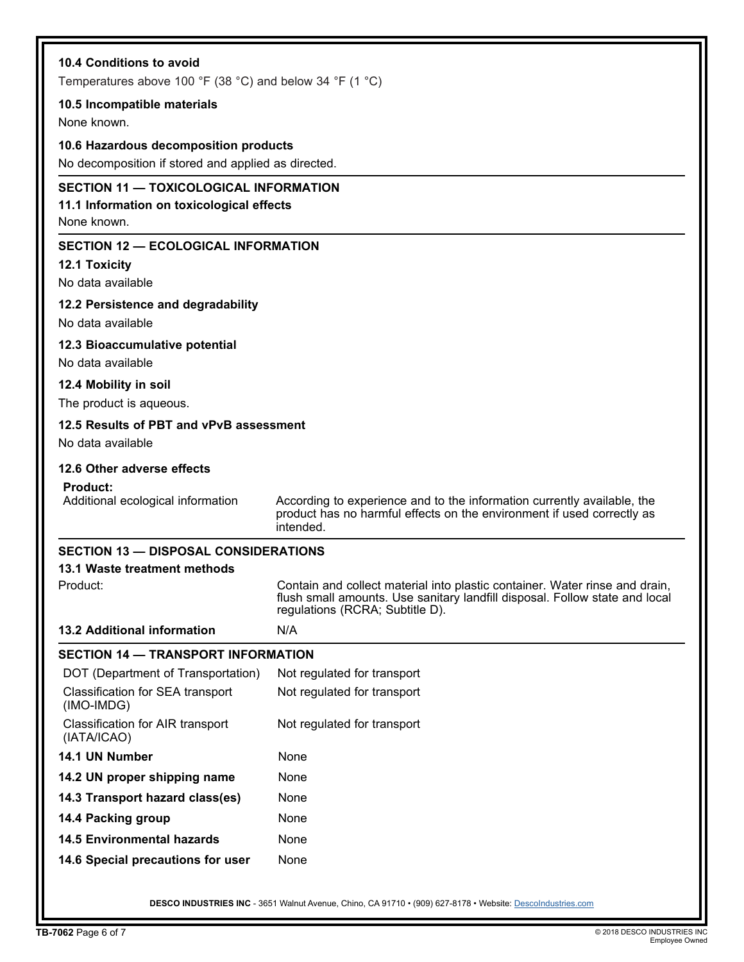| 10.4 Conditions to avoid<br>Temperatures above 100 °F (38 °C) and below 34 °F (1 °C)                      |                                                                                                                                                                                               |  |
|-----------------------------------------------------------------------------------------------------------|-----------------------------------------------------------------------------------------------------------------------------------------------------------------------------------------------|--|
|                                                                                                           |                                                                                                                                                                                               |  |
| 10.5 Incompatible materials<br>None known.                                                                |                                                                                                                                                                                               |  |
| 10.6 Hazardous decomposition products                                                                     |                                                                                                                                                                                               |  |
| No decomposition if stored and applied as directed.                                                       |                                                                                                                                                                                               |  |
| <b>SECTION 11 - TOXICOLOGICAL INFORMATION</b><br>11.1 Information on toxicological effects<br>None known. |                                                                                                                                                                                               |  |
| <b>SECTION 12 - ECOLOGICAL INFORMATION</b><br><b>12.1 Toxicity</b><br>No data available                   |                                                                                                                                                                                               |  |
| 12.2 Persistence and degradability                                                                        |                                                                                                                                                                                               |  |
| No data available                                                                                         |                                                                                                                                                                                               |  |
| 12.3 Bioaccumulative potential                                                                            |                                                                                                                                                                                               |  |
| No data available                                                                                         |                                                                                                                                                                                               |  |
| 12.4 Mobility in soil                                                                                     |                                                                                                                                                                                               |  |
| The product is aqueous.                                                                                   |                                                                                                                                                                                               |  |
| 12.5 Results of PBT and vPvB assessment<br>No data available                                              |                                                                                                                                                                                               |  |
| 12.6 Other adverse effects                                                                                |                                                                                                                                                                                               |  |
| <b>Product:</b>                                                                                           |                                                                                                                                                                                               |  |
| Additional ecological information                                                                         | According to experience and to the information currently available, the<br>product has no harmful effects on the environment if used correctly as<br>intended.                                |  |
| <b>SECTION 13 - DISPOSAL CONSIDERATIONS</b>                                                               |                                                                                                                                                                                               |  |
| 13.1 Waste treatment methods                                                                              |                                                                                                                                                                                               |  |
| Product:                                                                                                  | Contain and collect material into plastic container. Water rinse and drain,<br>flush small amounts. Use sanitary landfill disposal. Follow state and local<br>regulations (RCRA; Subtitle D). |  |
| <b>13.2 Additional information</b>                                                                        | N/A                                                                                                                                                                                           |  |
| <b>SECTION 14 - TRANSPORT INFORMATION</b>                                                                 |                                                                                                                                                                                               |  |
| DOT (Department of Transportation)                                                                        | Not regulated for transport                                                                                                                                                                   |  |
| Classification for SEA transport<br>(IMO-IMDG)                                                            | Not regulated for transport                                                                                                                                                                   |  |
| Classification for AIR transport<br>(IATA/ICAO)                                                           | Not regulated for transport                                                                                                                                                                   |  |
| 14.1 UN Number                                                                                            | None                                                                                                                                                                                          |  |
| 14.2 UN proper shipping name                                                                              | None                                                                                                                                                                                          |  |
| 14.3 Transport hazard class(es)                                                                           | None                                                                                                                                                                                          |  |
| 14.4 Packing group                                                                                        | None                                                                                                                                                                                          |  |
| <b>14.5 Environmental hazards</b>                                                                         | None                                                                                                                                                                                          |  |
| 14.6 Special precautions for user                                                                         | None                                                                                                                                                                                          |  |
|                                                                                                           | DESCO INDUSTRIES INC - 3651 Walnut Avenue, Chino, CA 91710 · (909) 627-8178 · Website: Descolndustries.com                                                                                    |  |